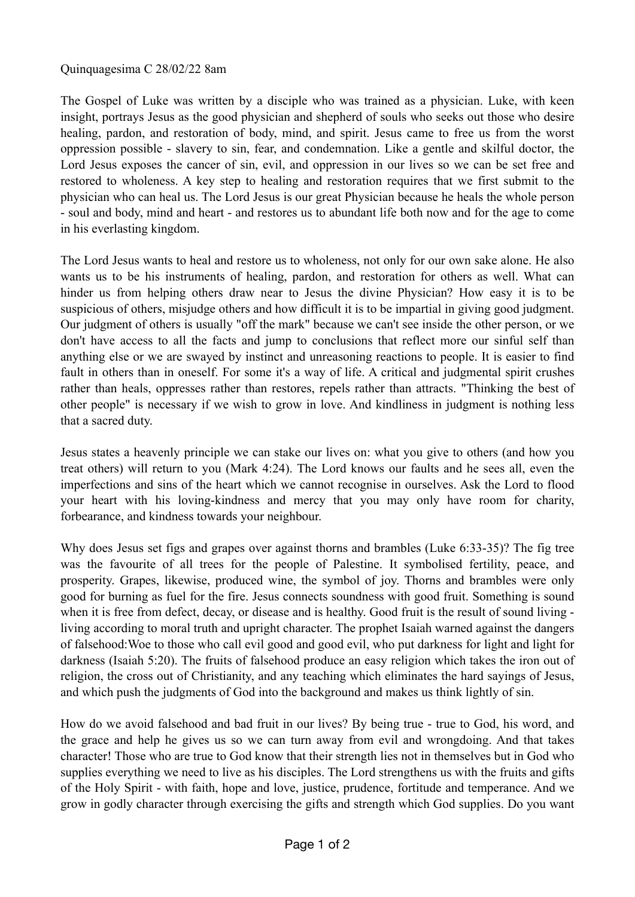## Quinquagesima C 28/02/22 8am

The Gospel of Luke was written by a disciple who was trained as a physician. Luke, with keen insight, portrays Jesus as the good physician and shepherd of souls who seeks out those who desire healing, pardon, and restoration of body, mind, and spirit. Jesus came to free us from the worst oppression possible - slavery to sin, fear, and condemnation. Like a gentle and skilful doctor, the Lord Jesus exposes the cancer of sin, evil, and oppression in our lives so we can be set free and restored to wholeness. A key step to healing and restoration requires that we first submit to the physician who can heal us. The Lord Jesus is our great Physician because he heals the whole person - soul and body, mind and heart - and restores us to abundant life both now and for the age to come in his everlasting kingdom.

The Lord Jesus wants to heal and restore us to wholeness, not only for our own sake alone. He also wants us to be his instruments of healing, pardon, and restoration for others as well. What can hinder us from helping others draw near to Jesus the divine Physician? How easy it is to be suspicious of others, misjudge others and how difficult it is to be impartial in giving good judgment. Our judgment of others is usually "off the mark" because we can't see inside the other person, or we don't have access to all the facts and jump to conclusions that reflect more our sinful self than anything else or we are swayed by instinct and unreasoning reactions to people. It is easier to find fault in others than in oneself. For some it's a way of life. A critical and judgmental spirit crushes rather than heals, oppresses rather than restores, repels rather than attracts. "Thinking the best of other people" is necessary if we wish to grow in love. And kindliness in judgment is nothing less that a sacred duty.

Jesus states a heavenly principle we can stake our lives on: what you give to others (and how you treat others) will return to you (Mark 4:24). The Lord knows our faults and he sees all, even the imperfections and sins of the heart which we cannot recognise in ourselves. Ask the Lord to flood your heart with his loving-kindness and mercy that you may only have room for charity, forbearance, and kindness towards your neighbour.

Why does Jesus set figs and grapes over against thorns and brambles (Luke 6:33-35)? The fig tree was the favourite of all trees for the people of Palestine. It symbolised fertility, peace, and prosperity. Grapes, likewise, produced wine, the symbol of joy. Thorns and brambles were only good for burning as fuel for the fire. Jesus connects soundness with good fruit. Something is sound when it is free from defect, decay, or disease and is healthy. Good fruit is the result of sound living living according to moral truth and upright character. The prophet Isaiah warned against the dangers of falsehood:Woe to those who call evil good and good evil, who put darkness for light and light for darkness (Isaiah 5:20). The fruits of falsehood produce an easy religion which takes the iron out of religion, the cross out of Christianity, and any teaching which eliminates the hard sayings of Jesus, and which push the judgments of God into the background and makes us think lightly of sin.

How do we avoid falsehood and bad fruit in our lives? By being true - true to God, his word, and the grace and help he gives us so we can turn away from evil and wrongdoing. And that takes character! Those who are true to God know that their strength lies not in themselves but in God who supplies everything we need to live as his disciples. The Lord strengthens us with the fruits and gifts of the Holy Spirit - with faith, hope and love, justice, prudence, fortitude and temperance. And we grow in godly character through exercising the gifts and strength which God supplies. Do you want